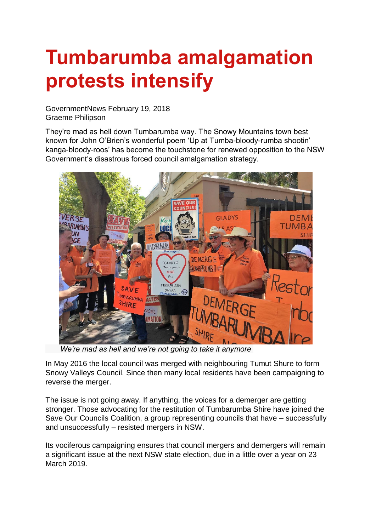## **Tumbarumba amalgamation protests intensify**

GovernmentNews February 19, 2018 Graeme Philipson

They're mad as hell down Tumbarumba way. The Snowy Mountains town best known for John O'Brien's wonderful poem 'Up at Tumba-bloody-rumba shootin' kanga-bloody-roos' has become the touchstone for renewed opposition to the NSW Government's disastrous forced council amalgamation strategy.



 *We're mad as hell and we're not going to take it anymore*

In May 2016 the local council was merged with neighbouring Tumut Shure to form Snowy Valleys Council. Since then many local residents have been campaigning to reverse the merger.

The issue is not going away. If anything, the voices for a demerger are getting stronger. Those advocating for the restitution of Tumbarumba Shire have joined the Save Our Councils Coalition, a group representing councils that have – successfully and unsuccessfully – resisted mergers in NSW.

Its vociferous campaigning ensures that council mergers and demergers will remain a significant issue at the next NSW state election, due in a little over a year on 23 March 2019.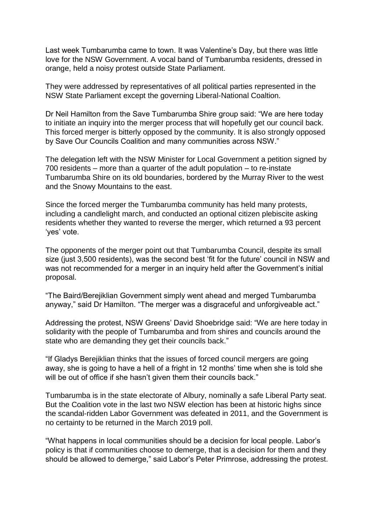Last week Tumbarumba came to town. It was Valentine's Day, but there was little love for the NSW Government. A vocal band of Tumbarumba residents, dressed in orange, held a noisy protest outside State Parliament.

They were addressed by representatives of all political parties represented in the NSW State Parliament except the governing Liberal-National Coaltion.

Dr Neil Hamilton from the Save Tumbarumba Shire group said: "We are here today to initiate an inquiry into the merger process that will hopefully get our council back. This forced merger is bitterly opposed by the community. It is also strongly opposed by Save Our Councils Coalition and many communities across NSW."

The delegation left with the NSW Minister for Local Government a petition signed by 700 residents – more than a quarter of the adult population – to re-instate Tumbarumba Shire on its old boundaries, bordered by the Murray River to the west and the Snowy Mountains to the east.

Since the forced merger the Tumbarumba community has held many protests, including a candlelight march, and conducted an optional citizen plebiscite asking residents whether they wanted to reverse the merger, which returned a 93 percent 'yes' vote.

The opponents of the merger point out that Tumbarumba Council, despite its small size (just 3,500 residents), was the second best 'fit for the future' council in NSW and was not recommended for a merger in an inquiry held after the Government's initial proposal.

"The Baird/Berejiklian Government simply went ahead and merged Tumbarumba anyway," said Dr Hamilton. "The merger was a disgraceful and unforgiveable act."

Addressing the protest, NSW Greens' David Shoebridge said: "We are here today in solidarity with the people of Tumbarumba and from shires and councils around the state who are demanding they get their councils back."

"If Gladys Berejiklian thinks that the issues of forced council mergers are going away, she is going to have a hell of a fright in 12 months' time when she is told she will be out of office if she hasn't given them their councils back."

Tumbarumba is in the state electorate of Albury, nominally a safe Liberal Party seat. But the Coalition vote in the last two NSW election has been at historic highs since the scandal-ridden Labor Government was defeated in 2011, and the Government is no certainty to be returned in the March 2019 poll.

"What happens in local communities should be a decision for local people. Labor's policy is that if communities choose to demerge, that is a decision for them and they should be allowed to demerge," said Labor's Peter Primrose, addressing the protest.